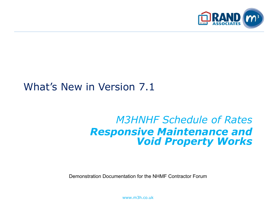

### What's New in Version 7.1

### *M3HNHF Schedule of Rates Responsive Maintenance and Void Property Works*

Demonstration Documentation for the NHMF Contractor Forum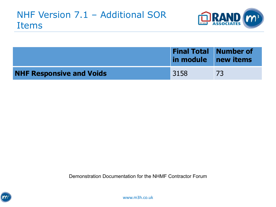

|                                 | <b>Final Total Number of</b><br>in module new items |    |
|---------------------------------|-----------------------------------------------------|----|
| <b>NHF Responsive and Voids</b> | 3158                                                | 73 |

Demonstration Documentation for the NHMF Contractor Forum

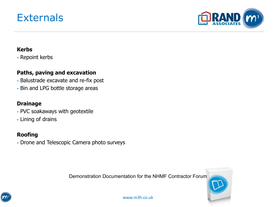### **Externals**



#### **Kerbs**

**· Repoint kerbs** 

#### **Paths, paving and excavation**

- Balustrade excavate and re-fix post
- **Bin and LPG bottle storage areas**

#### **Drainage**

- PVC soakaways with geotextile
- **Lining of drains**

#### **Roofing**

**• Drone and Telescopic Camera photo surveys** 

Demonstration Documentation for the NHMF Contractor Forum



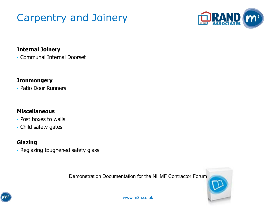# Carpentry and Joinery



#### **Internal Joinery**

▪ Communal Internal Doorset

#### **Ironmongery**

▪ Patio Door Runners

#### **Miscellaneous**

- Post boxes to walls
- Child safety gates

### **Glazing**

▪ Reglazing toughened safety glass

Demonstration Documentation for the NHMF Contractor Forum

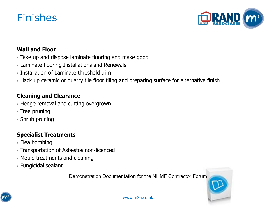### Finishes



#### **Wall and Floor**

- Take up and dispose laminate flooring and make good
- Laminate flooring Installations and Renewals
- Installation of Laminate threshold trim
- Hack up ceramic or quarry tile floor tiling and preparing surface for alternative finish

#### **Cleaning and Clearance**

- **.** Hedge removal and cutting overgrown
- **Tree pruning**
- Shrub pruning

#### **Specialist Treatments**

- Flea bombing
- Transportation of Asbestos non-licenced
- Mould treatments and cleaning
- Fungicidal sealant

Demonstration Documentation for the NHMF Contractor Forum

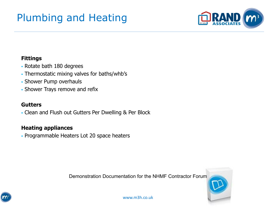# Plumbing and Heating



#### **Fittings**

- Rotate bath 180 degrees
- Thermostatic mixing valves for baths/whb's
- Shower Pump overhauls
- **Shower Trays remove and refix**

#### **Gutters**

▪ Clean and Flush out Gutters Per Dwelling & Per Block

#### **Heating appliances**

▪ Programmable Heaters Lot 20 space heaters

Demonstration Documentation for the NHMF Contractor Forum



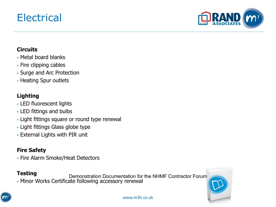### Electrical



#### **Circuits**

- Metal board blanks
- Fire clipping cables
- Surge and Arc Protection
- Heating Spur outlets

### **Lighting**

- LED fluorescent lights
- LED fittings and bulbs
- **.** Light fittings square or round type renewal
- Light fittings Glass globe type
- **External Lights with PIR unit**

### **Fire Safety**

▪ Fire Alarm Smoke/Heat Detectors

#### **Testing**

▪ Minor Works Certificate following accessory renewal Demonstration Documentation for the NHMF Contractor Forum



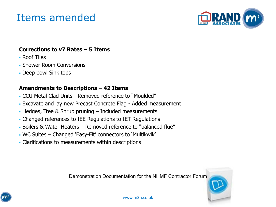### Items amended



#### **Corrections to v7 Rates – 5 Items**

- Roof Tiles
- **Shower Room Conversions**
- Deep bowl Sink tops

#### **Amendments to Descriptions – 42 Items**

- CCU Metal Clad Units Removed reference to "Moulded"
- **Excavate and lay new Precast Concrete Flag Added measurement**
- $\cdot$  Hedges, Tree & Shrub pruning  $-$  Included measurements
- Changed references to IEE Regulations to IET Regulations
- Boilers & Water Heaters Removed reference to "balanced flue"
- WC Suites Changed 'Easy-Fit' connectors to 'Multikwik'
- Clarifications to measurements within descriptions

Demonstration Documentation for the NHMF Contractor Forum



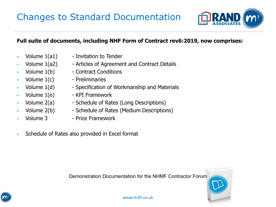

#### **Full suite of documents, including NHF Form of Contract rev6:2019, now comprises:**

- 
- 
- 
- 
- 
- 
- 
- 
- 
- $\bullet$  Volume  $1(a1)$  Invitation to Tender
	- Volume 1(a2) Articles of Agreement and Contract Details
	- Volume 1(b) Contract Conditions
	- Volume 1(c) Preliminaries
	- Volume 1(d) Specification of Workmanship and Materials
	- Volume  $1(e)$  KPI Framework
	- Volume 2(a) Schedule of Rates (Long Descriptions)
	- Volume 2(b) Schedule of Rates (Medium Descriptions)
	- Volume 3 Price Framework
- Schedule of Rates also provided in Excel format

Demonstration Documentation for the NHMF Contractor Forum

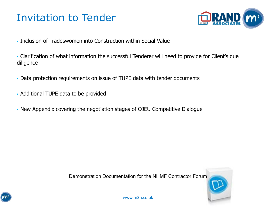## Invitation to Tender



- Inclusion of Tradeswomen into Construction within Social Value
- Clarification of what information the successful Tenderer will need to provide for Client's due diligence
- Data protection requirements on issue of TUPE data with tender documents
- Additional TUPE data to be provided
- New Appendix covering the negotiation stages of OJEU Competitive Dialogue



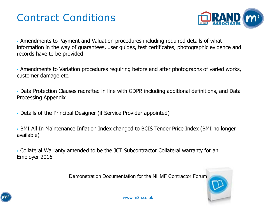## Contract Conditions



▪ Amendments to Payment and Valuation procedures including required details of what information in the way of guarantees, user guides, test certificates, photographic evidence and records have to be provided

▪ Amendments to Variation procedures requiring before and after photographs of varied works, customer damage etc.

▪ Data Protection Clauses redrafted in line with GDPR including additional definitions, and Data Processing Appendix

▪ Details of the Principal Designer (if Service Provider appointed)

**. BMI All In Maintenance Inflation Index changed to BCIS Tender Price Index (BMI no longer** available)

▪ Collateral Warranty amended to be the JCT Subcontractor Collateral warranty for an Employer 2016

Demonstration Documentation for the NHMF Contractor Forum

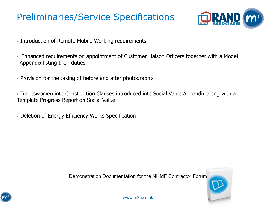### Preliminaries/Service Specifications



- **. Introduction of Remote Mobile Working requirements**
- **Enhanced requirements on appointment of Customer Liaison Officers together with a Model** Appendix listing their duties
- Provision for the taking of before and after photograph's
- Tradeswomen into Construction Clauses introduced into Social Value Appendix along with a Template Progress Report on Social Value
- **Deletion of Energy Efficiency Works Specification**



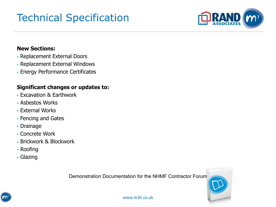# Technical Specification



#### **New Sections:**

- Replacement External Doors
- Replacement External Windows
- **Energy Performance Certificates**

#### **Significant changes or updates to:**

- **Excavation & Earthwork**
- Asbestos Works
- **External Works**
- **Fencing and Gates**
- Drainage
- Concrete Work
- **Brickwork & Blockwork**
- Roofing
- Glazing

Demonstration Documentation for the NHMF Contractor Forum

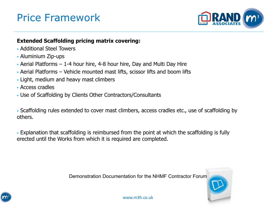## Price Framework



#### **Extended Scaffolding pricing matrix covering:**

- **Additional Steel Towers**
- Aluminium Zip-ups
- $\blacksquare$  Aerial Platforms 1-4 hour hire, 4-8 hour hire, Day and Multi Day Hire
- Aerial Platforms Vehicle mounted mast lifts, scissor lifts and boom lifts
- Light, medium and heavy mast climbers
- Access cradles
- Use of Scaffolding by Clients Other Contractors/Consultants

▪ Scaffolding rules extended to cover mast climbers, access cradles etc., use of scaffolding by others.

▪ Explanation that scaffolding is reimbursed from the point at which the scaffolding is fully erected until the Works from which it is required are completed.

Demonstration Documentation for the NHMF Contractor Forum